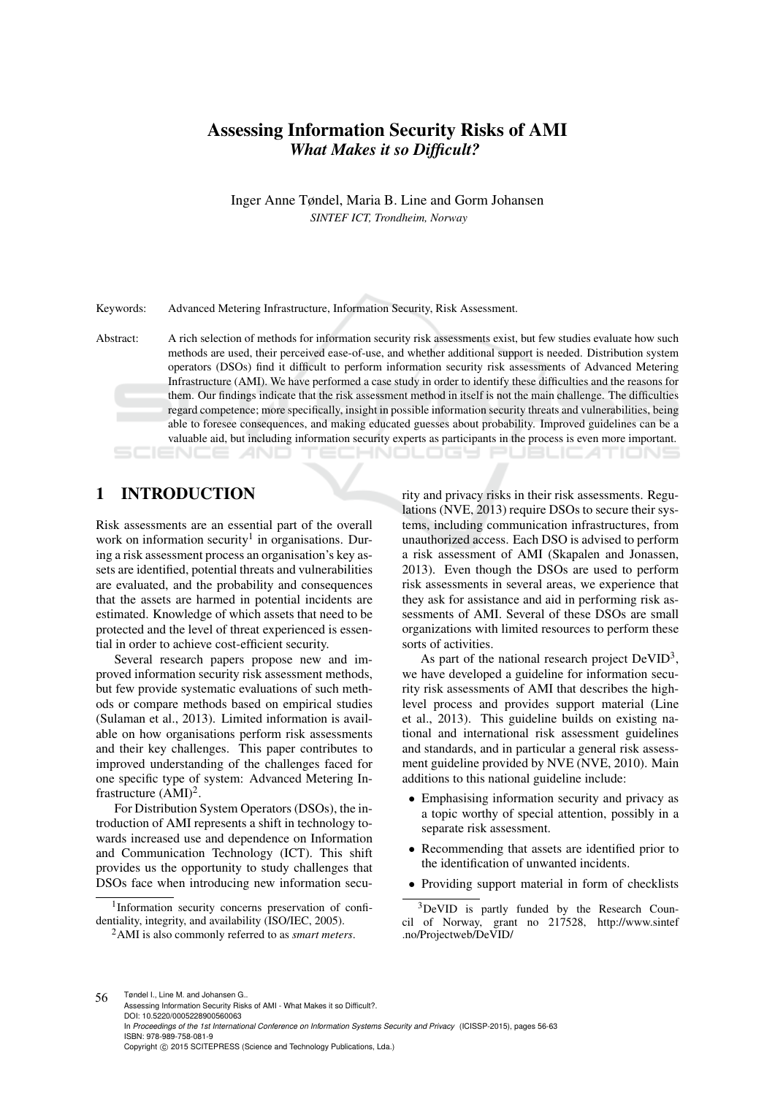# Assessing Information Security Risks of AMI *What Makes it so Difficult?*

Inger Anne Tøndel, Maria B. Line and Gorm Johansen *SINTEF ICT, Trondheim, Norway*

Keywords: Advanced Metering Infrastructure, Information Security, Risk Assessment.

HNOLOGY E

## 1 INTRODUCTION

Risk assessments are an essential part of the overall work on information security<sup>1</sup> in organisations. During a risk assessment process an organisation's key assets are identified, potential threats and vulnerabilities are evaluated, and the probability and consequences that the assets are harmed in potential incidents are estimated. Knowledge of which assets that need to be protected and the level of threat experienced is essential in order to achieve cost-efficient security.

Several research papers propose new and improved information security risk assessment methods, but few provide systematic evaluations of such methods or compare methods based on empirical studies (Sulaman et al., 2013). Limited information is available on how organisations perform risk assessments and their key challenges. This paper contributes to improved understanding of the challenges faced for one specific type of system: Advanced Metering Infrastructure  $(AMI)^2$ .

For Distribution System Operators (DSOs), the introduction of AMI represents a shift in technology towards increased use and dependence on Information and Communication Technology (ICT). This shift provides us the opportunity to study challenges that DSOs face when introducing new information security and privacy risks in their risk assessments. Regulations (NVE, 2013) require DSOs to secure their systems, including communication infrastructures, from unauthorized access. Each DSO is advised to perform a risk assessment of AMI (Skapalen and Jonassen, 2013). Even though the DSOs are used to perform risk assessments in several areas, we experience that they ask for assistance and aid in performing risk assessments of AMI. Several of these DSOs are small organizations with limited resources to perform these sorts of activities.

As part of the national research project  $DeVID<sup>3</sup>$ , we have developed a guideline for information security risk assessments of AMI that describes the highlevel process and provides support material (Line et al., 2013). This guideline builds on existing national and international risk assessment guidelines and standards, and in particular a general risk assessment guideline provided by NVE (NVE, 2010). Main additions to this national guideline include:

- Emphasising information security and privacy as a topic worthy of special attention, possibly in a separate risk assessment.
- Recommending that assets are identified prior to the identification of unwanted incidents.
- Providing support material in form of checklists

Abstract: A rich selection of methods for information security risk assessments exist, but few studies evaluate how such methods are used, their perceived ease-of-use, and whether additional support is needed. Distribution system operators (DSOs) find it difficult to perform information security risk assessments of Advanced Metering Infrastructure (AMI). We have performed a case study in order to identify these difficulties and the reasons for them. Our findings indicate that the risk assessment method in itself is not the main challenge. The difficulties regard competence; more specifically, insight in possible information security threats and vulnerabilities, being able to foresee consequences, and making educated guesses about probability. Improved guidelines can be a valuable aid, but including information security experts as participants in the process is even more important.

<sup>1</sup> Information security concerns preservation of confidentiality, integrity, and availability (ISO/IEC, 2005).

<sup>2</sup>AMI is also commonly referred to as *smart meters*.

<sup>&</sup>lt;sup>3</sup>DeVID is partly funded by the Research Council of Norway, grant no 217528, http://www.sintef .no/Projectweb/DeVID/

<sup>56</sup> Tøndel I., Line M. and Johansen G.. Assessing Information Security Risks of AMI - What Makes it so Difficult?. DOI: 10.5220/0005228900560063 In *Proceedings of the 1st International Conference on Information Systems Security and Privacy* (ICISSP-2015), pages 56-63 ISBN: 978-989-758-081-9 Copyright © 2015 SCITEPRESS (Science and Technology Publications, Lda.)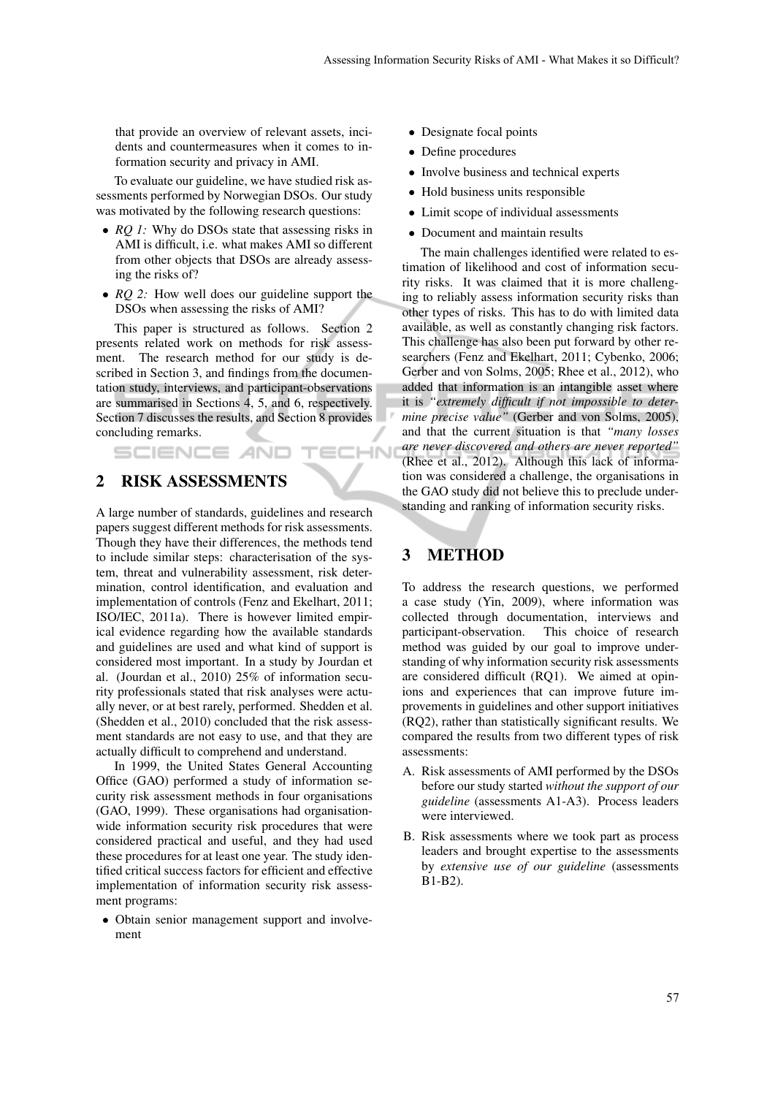that provide an overview of relevant assets, incidents and countermeasures when it comes to information security and privacy in AMI.

To evaluate our guideline, we have studied risk assessments performed by Norwegian DSOs. Our study was motivated by the following research questions:

- *RO 1*: Why do DSOs state that assessing risks in AMI is difficult, i.e. what makes AMI so different from other objects that DSOs are already assessing the risks of?
- *RQ 2:* How well does our guideline support the DSOs when assessing the risks of AMI?

This paper is structured as follows. Section 2 presents related work on methods for risk assessment. The research method for our study is described in Section 3, and findings from the documentation study, interviews, and participant-observations are summarised in Sections 4, 5, and 6, respectively. Section 7 discusses the results, and Section 8 provides concluding remarks.

**SCIENCE AND** 

### 2 RISK ASSESSMENTS

A large number of standards, guidelines and research papers suggest different methods for risk assessments. Though they have their differences, the methods tend to include similar steps: characterisation of the system, threat and vulnerability assessment, risk determination, control identification, and evaluation and implementation of controls (Fenz and Ekelhart, 2011; ISO/IEC, 2011a). There is however limited empirical evidence regarding how the available standards and guidelines are used and what kind of support is considered most important. In a study by Jourdan et al. (Jourdan et al., 2010) 25% of information security professionals stated that risk analyses were actually never, or at best rarely, performed. Shedden et al. (Shedden et al., 2010) concluded that the risk assessment standards are not easy to use, and that they are actually difficult to comprehend and understand.

In 1999, the United States General Accounting Office (GAO) performed a study of information security risk assessment methods in four organisations (GAO, 1999). These organisations had organisationwide information security risk procedures that were considered practical and useful, and they had used these procedures for at least one year. The study identified critical success factors for efficient and effective implementation of information security risk assessment programs:

• Obtain senior management support and involvement

- Designate focal points
- Define procedures
- Involve business and technical experts
- Hold business units responsible
- Limit scope of individual assessments
- Document and maintain results

The main challenges identified were related to estimation of likelihood and cost of information security risks. It was claimed that it is more challenging to reliably assess information security risks than other types of risks. This has to do with limited data available, as well as constantly changing risk factors. This challenge has also been put forward by other researchers (Fenz and Ekelhart, 2011; Cybenko, 2006; Gerber and von Solms, 2005; Rhee et al., 2012), who added that information is an intangible asset where it is *"extremely difficult if not impossible to determine precise value"* (Gerber and von Solms, 2005), and that the current situation is that *"many losses are never discovered and others are never reported"* (Rhee et al., 2012). Although this lack of information was considered a challenge, the organisations in the GAO study did not believe this to preclude understanding and ranking of information security risks.

## 3 METHOD

ECHN

To address the research questions, we performed a case study (Yin, 2009), where information was collected through documentation, interviews and participant-observation. This choice of research method was guided by our goal to improve understanding of why information security risk assessments are considered difficult (RQ1). We aimed at opinions and experiences that can improve future improvements in guidelines and other support initiatives (RQ2), rather than statistically significant results. We compared the results from two different types of risk assessments:

- A. Risk assessments of AMI performed by the DSOs before our study started *without the support of our guideline* (assessments A1-A3). Process leaders were interviewed.
- B. Risk assessments where we took part as process leaders and brought expertise to the assessments by *extensive use of our guideline* (assessments B1-B2).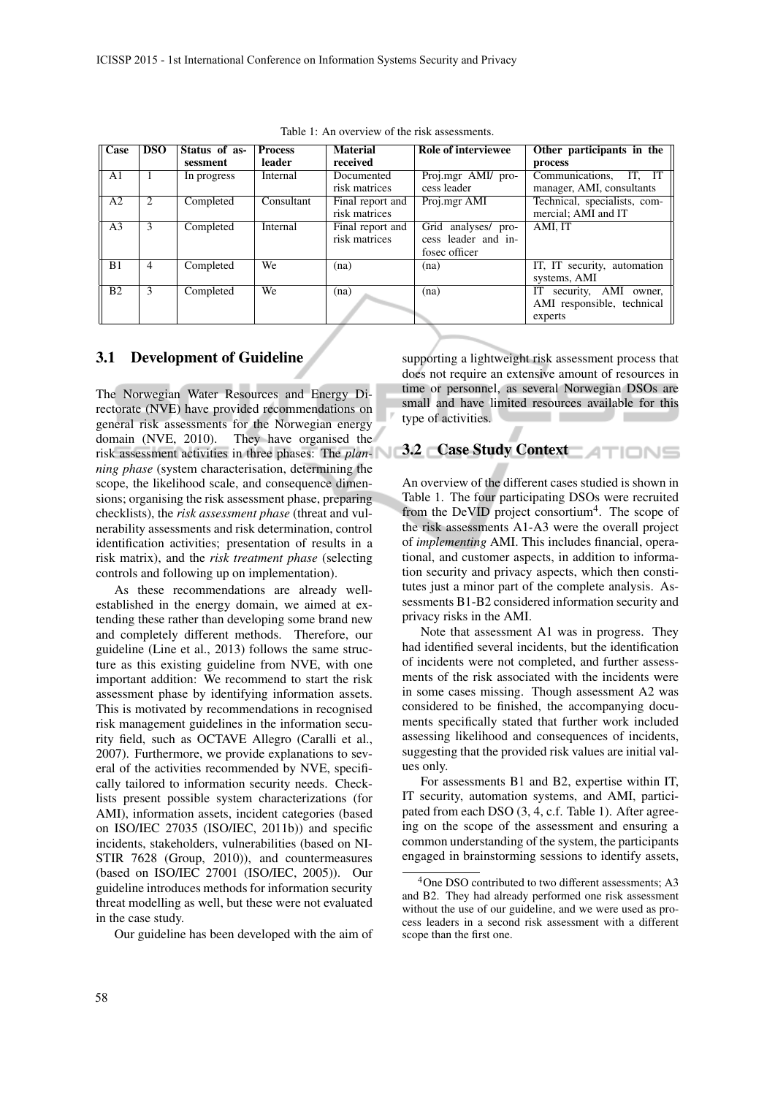| Case           | <b>DSO</b> | Status of as- | <b>Process</b> | <b>Material</b>                   | Role of interviewee                                         | Other participants in the                                             |  |  |
|----------------|------------|---------------|----------------|-----------------------------------|-------------------------------------------------------------|-----------------------------------------------------------------------|--|--|
|                |            | sessment      | leader         | received                          |                                                             | process                                                               |  |  |
| A <sub>1</sub> | Ι.         | In progress   | Internal       | Documented<br>risk matrices       | Proj.mgr AMI/ pro-<br>cess leader                           | Communications, IT, IT<br>manager, AMI, consultants                   |  |  |
| A <sub>2</sub> | 2          | Completed     | Consultant     | Final report and<br>risk matrices | Proj.mgr AMI                                                | Technical, specialists, com-<br>mercial; AMI and IT                   |  |  |
| A <sub>3</sub> | 3          | Completed     | Internal       | Final report and<br>risk matrices | Grid analyses/ pro-<br>cess leader and in-<br>fosec officer | AMI. IT                                                               |  |  |
| B1             | 4          | Completed     | We             | (na)                              | (na)                                                        | IT, IT security, automation<br>systems, AMI                           |  |  |
| B <sub>2</sub> | 3          | Completed     | We             | (na)                              | (na)                                                        | security, AMI owner,<br>IT –<br>AMI responsible, technical<br>experts |  |  |

Table 1: An overview of the risk assessments.

#### 3.1 Development of Guideline

The Norwegian Water Resources and Energy Directorate (NVE) have provided recommendations on general risk assessments for the Norwegian energy<br>domain (NVE, 2010). They have organised the They have organised the risk assessment activities in three phases: The *planning phase* (system characterisation, determining the scope, the likelihood scale, and consequence dimensions; organising the risk assessment phase, preparing checklists), the *risk assessment phase* (threat and vulnerability assessments and risk determination, control identification activities; presentation of results in a risk matrix), and the *risk treatment phase* (selecting controls and following up on implementation).

As these recommendations are already wellestablished in the energy domain, we aimed at extending these rather than developing some brand new and completely different methods. Therefore, our guideline (Line et al., 2013) follows the same structure as this existing guideline from NVE, with one important addition: We recommend to start the risk assessment phase by identifying information assets. This is motivated by recommendations in recognised risk management guidelines in the information security field, such as OCTAVE Allegro (Caralli et al., 2007). Furthermore, we provide explanations to several of the activities recommended by NVE, specifically tailored to information security needs. Checklists present possible system characterizations (for AMI), information assets, incident categories (based on ISO/IEC 27035 (ISO/IEC, 2011b)) and specific incidents, stakeholders, vulnerabilities (based on NI-STIR 7628 (Group, 2010)), and countermeasures (based on ISO/IEC 27001 (ISO/IEC, 2005)). Our guideline introduces methods for information security threat modelling as well, but these were not evaluated in the case study.

Our guideline has been developed with the aim of

supporting a lightweight risk assessment process that does not require an extensive amount of resources in time or personnel, as several Norwegian DSOs are small and have limited resources available for this type of activities.

### 3.2 Case Study Context

An overview of the different cases studied is shown in Table 1. The four participating DSOs were recruited from the DeVID project consortium<sup>4</sup>. The scope of the risk assessments A1-A3 were the overall project of *implementing* AMI. This includes financial, operational, and customer aspects, in addition to information security and privacy aspects, which then constitutes just a minor part of the complete analysis. Assessments B1-B2 considered information security and privacy risks in the AMI.

Note that assessment A1 was in progress. They had identified several incidents, but the identification of incidents were not completed, and further assessments of the risk associated with the incidents were in some cases missing. Though assessment A2 was considered to be finished, the accompanying documents specifically stated that further work included assessing likelihood and consequences of incidents, suggesting that the provided risk values are initial values only.

For assessments B1 and B2, expertise within IT, IT security, automation systems, and AMI, participated from each DSO (3, 4, c.f. Table 1). After agreeing on the scope of the assessment and ensuring a common understanding of the system, the participants engaged in brainstorming sessions to identify assets,

<sup>&</sup>lt;sup>4</sup>One DSO contributed to two different assessments; A3 and B2. They had already performed one risk assessment without the use of our guideline, and we were used as process leaders in a second risk assessment with a different scope than the first one.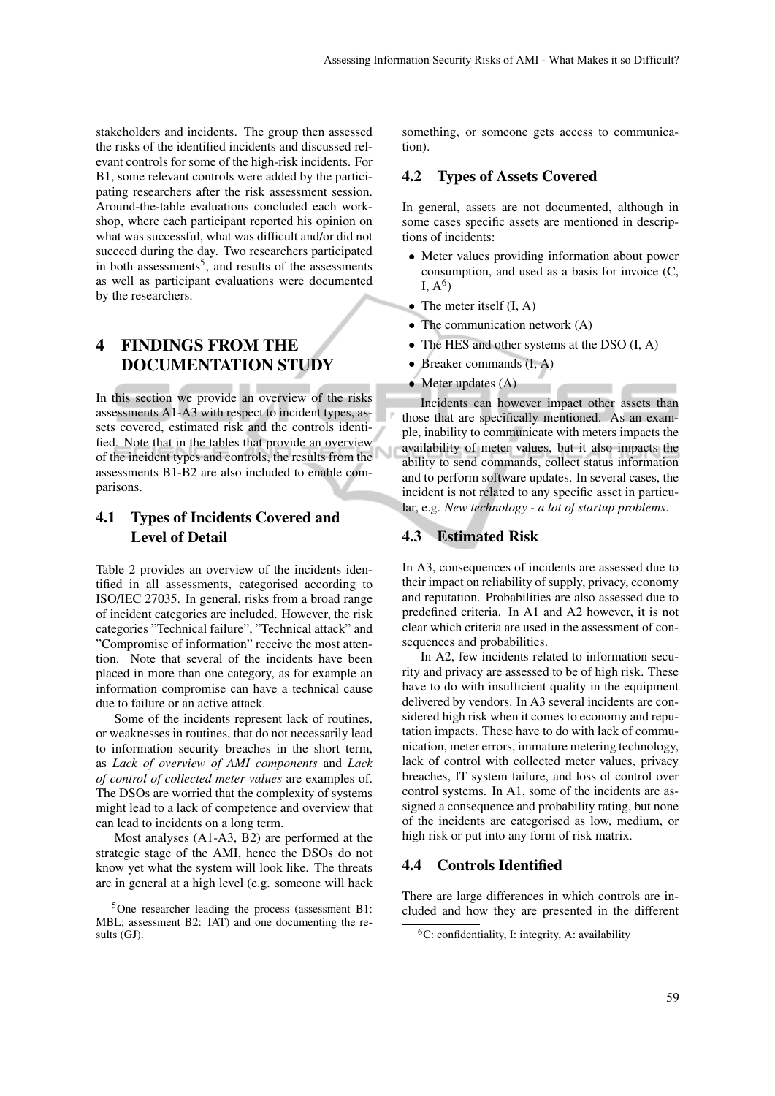stakeholders and incidents. The group then assessed the risks of the identified incidents and discussed relevant controls for some of the high-risk incidents. For B1, some relevant controls were added by the participating researchers after the risk assessment session. Around-the-table evaluations concluded each workshop, where each participant reported his opinion on what was successful, what was difficult and/or did not succeed during the day. Two researchers participated in both assessments<sup>5</sup>, and results of the assessments as well as participant evaluations were documented by the researchers.

# 4 FINDINGS FROM THE DOCUMENTATION STUDY

In this section we provide an overview of the risks assessments A1-A3 with respect to incident types, assets covered, estimated risk and the controls identified. Note that in the tables that provide an overview of the incident types and controls, the results from the assessments B1-B2 are also included to enable comparisons.

### 4.1 Types of Incidents Covered and Level of Detail

Table 2 provides an overview of the incidents identified in all assessments, categorised according to ISO/IEC 27035. In general, risks from a broad range of incident categories are included. However, the risk categories "Technical failure", "Technical attack" and "Compromise of information" receive the most attention. Note that several of the incidents have been placed in more than one category, as for example an information compromise can have a technical cause due to failure or an active attack.

Some of the incidents represent lack of routines, or weaknesses in routines, that do not necessarily lead to information security breaches in the short term, as *Lack of overview of AMI components* and *Lack of control of collected meter values* are examples of. The DSOs are worried that the complexity of systems might lead to a lack of competence and overview that can lead to incidents on a long term.

Most analyses (A1-A3, B2) are performed at the strategic stage of the AMI, hence the DSOs do not know yet what the system will look like. The threats are in general at a high level (e.g. someone will hack something, or someone gets access to communication).

#### 4.2 Types of Assets Covered

In general, assets are not documented, although in some cases specific assets are mentioned in descriptions of incidents:

- Meter values providing information about power consumption, and used as a basis for invoice (C, I,  $A^6$ )
- The meter itself  $(I, A)$
- The communication network (A)
- The HES and other systems at the DSO (I, A)
- Breaker commands (I, A)
- Meter updates (A)

Incidents can however impact other assets than those that are specifically mentioned. As an example, inability to communicate with meters impacts the availability of meter values, but it also impacts the ability to send commands, collect status information and to perform software updates. In several cases, the incident is not related to any specific asset in particular, e.g. *New technology - a lot of startup problems*.

#### 4.3 Estimated Risk

In A3, consequences of incidents are assessed due to their impact on reliability of supply, privacy, economy and reputation. Probabilities are also assessed due to predefined criteria. In A1 and A2 however, it is not clear which criteria are used in the assessment of consequences and probabilities.

In A2, few incidents related to information security and privacy are assessed to be of high risk. These have to do with insufficient quality in the equipment delivered by vendors. In A3 several incidents are considered high risk when it comes to economy and reputation impacts. These have to do with lack of communication, meter errors, immature metering technology, lack of control with collected meter values, privacy breaches, IT system failure, and loss of control over control systems. In A1, some of the incidents are assigned a consequence and probability rating, but none of the incidents are categorised as low, medium, or high risk or put into any form of risk matrix.

#### 4.4 Controls Identified

There are large differences in which controls are included and how they are presented in the different

<sup>5</sup>One researcher leading the process (assessment B1: MBL; assessment B2: IAT) and one documenting the results (GJ).

 ${}^{6}C$ : confidentiality, I: integrity, A: availability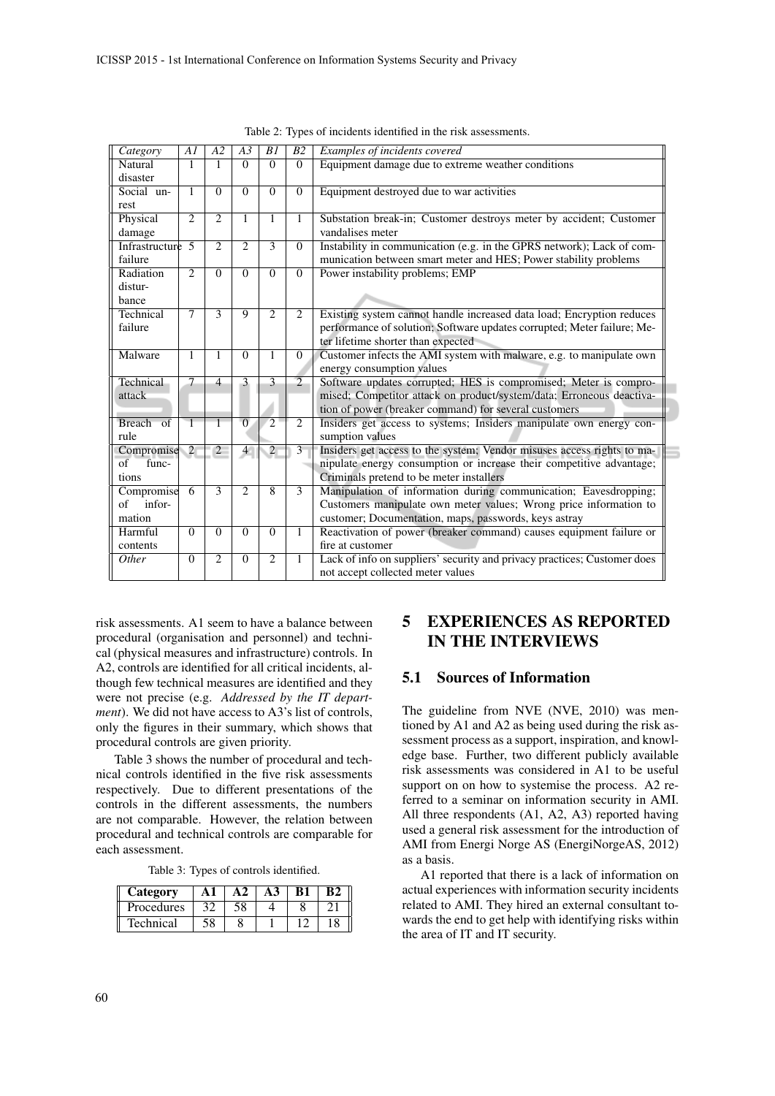|                                                                                                               | A1             | A2                                                                                          | A <sub>3</sub>                                        | B1                                                                    | B <sub>2</sub> |                                                                          |
|---------------------------------------------------------------------------------------------------------------|----------------|---------------------------------------------------------------------------------------------|-------------------------------------------------------|-----------------------------------------------------------------------|----------------|--------------------------------------------------------------------------|
| Category                                                                                                      |                |                                                                                             |                                                       |                                                                       |                | Examples of incidents covered                                            |
| Equipment damage due to extreme weather conditions<br>$\overline{0}$<br>$\overline{0}$<br>Natural<br>$\Omega$ |                |                                                                                             |                                                       |                                                                       |                |                                                                          |
| disaster                                                                                                      |                |                                                                                             |                                                       |                                                                       |                |                                                                          |
| Social un-                                                                                                    | 1              | $\Omega$                                                                                    | $\Omega$                                              | $\overline{0}$                                                        | $\Omega$       | Equipment destroyed due to war activities                                |
| rest                                                                                                          |                |                                                                                             |                                                       |                                                                       |                |                                                                          |
| Physical                                                                                                      | $\overline{2}$ | $\overline{2}$                                                                              | 1                                                     | 1                                                                     | L              | Substation break-in; Customer destroys meter by accident; Customer       |
| damage                                                                                                        |                |                                                                                             |                                                       |                                                                       |                | vandalises meter                                                         |
| Infrastructure 5                                                                                              |                | $\overline{\mathcal{L}}$<br>$\overline{\mathcal{L}}$<br>3<br>$\mathbf{0}$                   |                                                       | Instability in communication (e.g. in the GPRS network); Lack of com- |                |                                                                          |
| failure                                                                                                       |                |                                                                                             |                                                       |                                                                       |                | munication between smart meter and HES; Power stability problems         |
| Radiation                                                                                                     | $\overline{2}$ | Power instability problems; EMP<br>$\Omega$<br>$\Omega$<br>$\overline{0}$<br>$\overline{0}$ |                                                       |                                                                       |                |                                                                          |
| distur-                                                                                                       |                |                                                                                             |                                                       |                                                                       |                |                                                                          |
| bance                                                                                                         |                |                                                                                             |                                                       |                                                                       |                |                                                                          |
| Technical                                                                                                     | 7              | 3                                                                                           | $\overline{9}$                                        | $\mathcal{D}_{\mathcal{L}}$                                           | 2              | Existing system cannot handle increased data load; Encryption reduces    |
| failure                                                                                                       |                |                                                                                             |                                                       |                                                                       |                | performance of solution; Software updates corrupted; Meter failure; Me-  |
|                                                                                                               |                |                                                                                             |                                                       |                                                                       |                | ter lifetime shorter than expected                                       |
| Malware                                                                                                       | T              | 1                                                                                           | 0                                                     | 1                                                                     | $\overline{0}$ | Customer infects the AMI system with malware, e.g. to manipulate own     |
|                                                                                                               |                |                                                                                             |                                                       |                                                                       |                | energy consumption values                                                |
| Technical                                                                                                     |                | 4                                                                                           | 3                                                     | 3                                                                     | $\overline{2}$ | Software updates corrupted; HES is compromised; Meter is compro-         |
| attack                                                                                                        |                |                                                                                             |                                                       | mised; Competitor attack on product/system/data; Erroneous deactiva-  |                |                                                                          |
|                                                                                                               |                |                                                                                             |                                                       |                                                                       |                | tion of power (breaker command) for several customers                    |
| $\overline{of}$<br><b>Breach</b>                                                                              |                |                                                                                             | $\overline{0}$                                        | $\overline{2}$                                                        | $\overline{2}$ | Insiders get access to systems; Insiders manipulate own energy con-      |
| rule                                                                                                          |                |                                                                                             |                                                       |                                                                       |                | sumption values                                                          |
| Compromise                                                                                                    | $\overline{2}$ | $\overline{2}$                                                                              | $\overline{4}$                                        | $\overline{2}$                                                        | $\overline{3}$ | Insiders get access to the system; Vendor misuses access rights to ma-   |
| func-<br>$\sigma$ f                                                                                           |                |                                                                                             |                                                       |                                                                       |                | nipulate energy consumption or increase their competitive advantage;     |
| tions                                                                                                         |                |                                                                                             |                                                       | Criminals pretend to be meter installers                              |                |                                                                          |
| Compromise                                                                                                    | 6              | 3                                                                                           | $\overline{2}$                                        | 8                                                                     | 3              | Manipulation of information during communication; Eavesdropping;         |
| infor-<br>of                                                                                                  |                | Customers manipulate own meter values; Wrong price information to                           |                                                       |                                                                       |                |                                                                          |
| mation                                                                                                        |                |                                                                                             | customer; Documentation, maps, passwords, keys astray |                                                                       |                |                                                                          |
| Harmful                                                                                                       | $\Omega$       | $\Omega$                                                                                    | $\Omega$                                              | $\Omega$                                                              | $\mathbf{1}$   | Reactivation of power (breaker command) causes equipment failure or      |
|                                                                                                               |                |                                                                                             |                                                       |                                                                       |                | fire at customer                                                         |
| contents                                                                                                      |                |                                                                                             |                                                       |                                                                       |                |                                                                          |
| <i>Other</i>                                                                                                  | $\Omega$       | $\overline{c}$                                                                              | $\Omega$                                              | 2                                                                     | 1              | Lack of info on suppliers' security and privacy practices; Customer does |
|                                                                                                               |                |                                                                                             |                                                       |                                                                       |                | not accept collected meter values                                        |

Table 2: Types of incidents identified in the risk assessments.

risk assessments. A1 seem to have a balance between procedural (organisation and personnel) and technical (physical measures and infrastructure) controls. In A2, controls are identified for all critical incidents, although few technical measures are identified and they were not precise (e.g. *Addressed by the IT department*). We did not have access to A3's list of controls, only the figures in their summary, which shows that procedural controls are given priority.

Table 3 shows the number of procedural and technical controls identified in the five risk assessments respectively. Due to different presentations of the controls in the different assessments, the numbers are not comparable. However, the relation between procedural and technical controls are comparable for each assessment.

Table 3: Types of controls identified.

| Category          | A1 |    | A3 | B1 |    |
|-------------------|----|----|----|----|----|
| <b>Procedures</b> |    | 58 |    |    |    |
| Technical         | 58 |    |    |    | 18 |

## 5 EXPERIENCES AS REPORTED IN THE INTERVIEWS

#### 5.1 Sources of Information

The guideline from NVE (NVE, 2010) was mentioned by A1 and A2 as being used during the risk assessment process as a support, inspiration, and knowledge base. Further, two different publicly available risk assessments was considered in A1 to be useful support on on how to systemise the process. A2 referred to a seminar on information security in AMI. All three respondents (A1, A2, A3) reported having used a general risk assessment for the introduction of AMI from Energi Norge AS (EnergiNorgeAS, 2012) as a basis.

A1 reported that there is a lack of information on actual experiences with information security incidents related to AMI. They hired an external consultant towards the end to get help with identifying risks within the area of IT and IT security.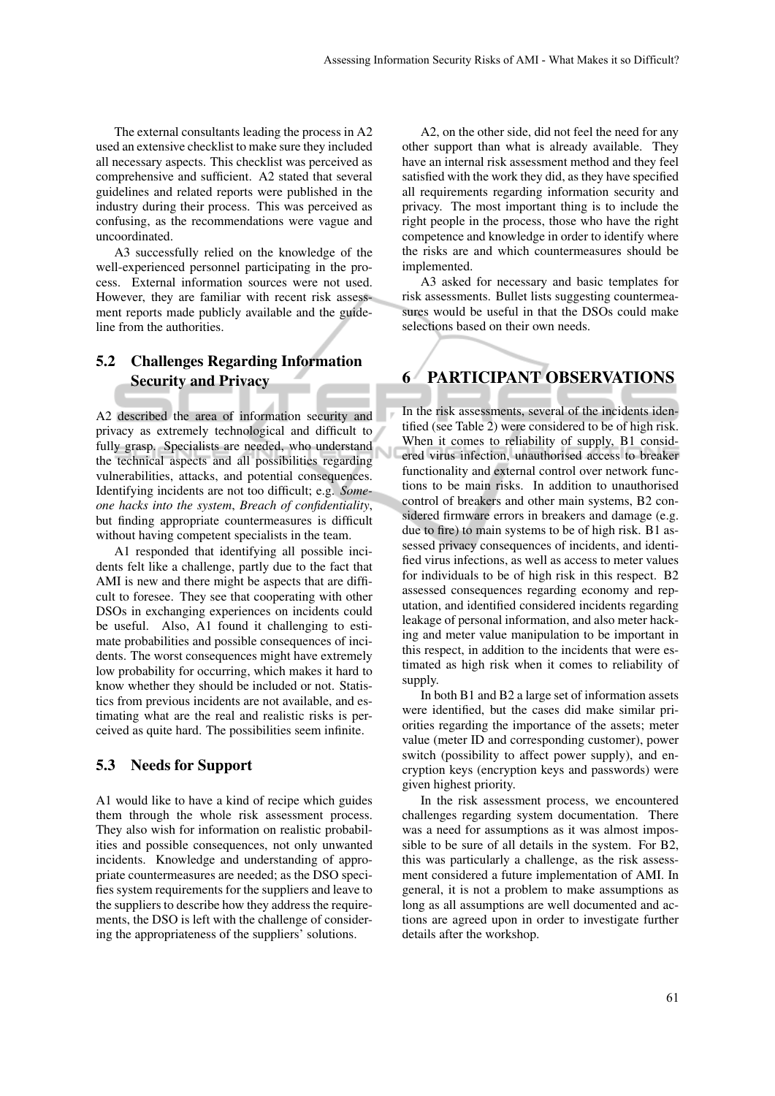The external consultants leading the process in A2 used an extensive checklist to make sure they included all necessary aspects. This checklist was perceived as comprehensive and sufficient. A2 stated that several guidelines and related reports were published in the industry during their process. This was perceived as confusing, as the recommendations were vague and uncoordinated.

A3 successfully relied on the knowledge of the well-experienced personnel participating in the process. External information sources were not used. However, they are familiar with recent risk assessment reports made publicly available and the guideline from the authorities.

## 5.2 Challenges Regarding Information Security and Privacy

A2 described the area of information security and privacy as extremely technological and difficult to fully grasp. Specialists are needed, who understand the technical aspects and all possibilities regarding vulnerabilities, attacks, and potential consequences. Identifying incidents are not too difficult; e.g. *Someone hacks into the system*, *Breach of confidentiality*, but finding appropriate countermeasures is difficult without having competent specialists in the team.

A1 responded that identifying all possible incidents felt like a challenge, partly due to the fact that AMI is new and there might be aspects that are difficult to foresee. They see that cooperating with other DSOs in exchanging experiences on incidents could be useful. Also, A1 found it challenging to estimate probabilities and possible consequences of incidents. The worst consequences might have extremely low probability for occurring, which makes it hard to know whether they should be included or not. Statistics from previous incidents are not available, and estimating what are the real and realistic risks is perceived as quite hard. The possibilities seem infinite.

#### 5.3 Needs for Support

A1 would like to have a kind of recipe which guides them through the whole risk assessment process. They also wish for information on realistic probabilities and possible consequences, not only unwanted incidents. Knowledge and understanding of appropriate countermeasures are needed; as the DSO specifies system requirements for the suppliers and leave to the suppliers to describe how they address the requirements, the DSO is left with the challenge of considering the appropriateness of the suppliers' solutions.

A2, on the other side, did not feel the need for any other support than what is already available. They have an internal risk assessment method and they feel satisfied with the work they did, as they have specified all requirements regarding information security and privacy. The most important thing is to include the right people in the process, those who have the right competence and knowledge in order to identify where the risks are and which countermeasures should be implemented.

A3 asked for necessary and basic templates for risk assessments. Bullet lists suggesting countermeasures would be useful in that the DSOs could make selections based on their own needs.

# 6 PARTICIPANT OBSERVATIONS

In the risk assessments, several of the incidents identified (see Table 2) were considered to be of high risk. When it comes to reliability of supply, B1 considered virus infection, unauthorised access to breaker functionality and external control over network functions to be main risks. In addition to unauthorised control of breakers and other main systems, B2 considered firmware errors in breakers and damage (e.g. due to fire) to main systems to be of high risk. B1 assessed privacy consequences of incidents, and identified virus infections, as well as access to meter values for individuals to be of high risk in this respect. B2 assessed consequences regarding economy and reputation, and identified considered incidents regarding leakage of personal information, and also meter hacking and meter value manipulation to be important in this respect, in addition to the incidents that were estimated as high risk when it comes to reliability of supply.

In both B1 and B2 a large set of information assets were identified, but the cases did make similar priorities regarding the importance of the assets; meter value (meter ID and corresponding customer), power switch (possibility to affect power supply), and encryption keys (encryption keys and passwords) were given highest priority.

In the risk assessment process, we encountered challenges regarding system documentation. There was a need for assumptions as it was almost impossible to be sure of all details in the system. For B2, this was particularly a challenge, as the risk assessment considered a future implementation of AMI. In general, it is not a problem to make assumptions as long as all assumptions are well documented and actions are agreed upon in order to investigate further details after the workshop.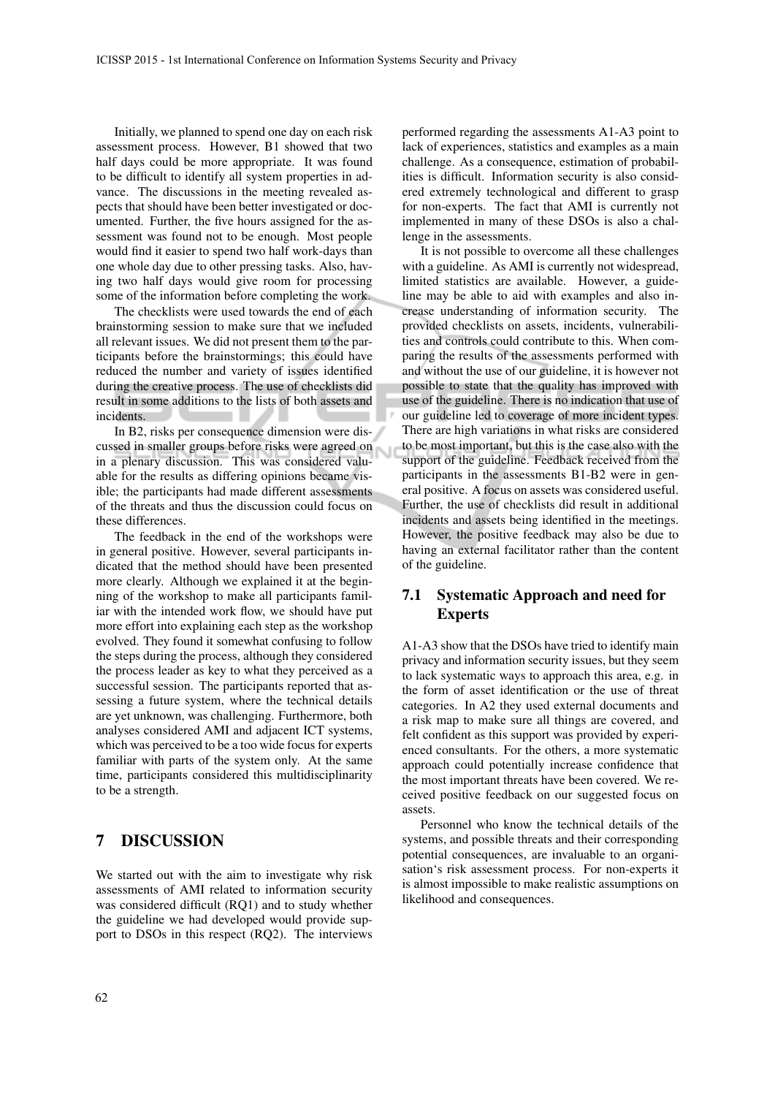Initially, we planned to spend one day on each risk assessment process. However, B1 showed that two half days could be more appropriate. It was found to be difficult to identify all system properties in advance. The discussions in the meeting revealed aspects that should have been better investigated or documented. Further, the five hours assigned for the assessment was found not to be enough. Most people would find it easier to spend two half work-days than one whole day due to other pressing tasks. Also, having two half days would give room for processing some of the information before completing the work.

The checklists were used towards the end of each brainstorming session to make sure that we included all relevant issues. We did not present them to the participants before the brainstormings; this could have reduced the number and variety of issues identified during the creative process. The use of checklists did result in some additions to the lists of both assets and incidents.

In B2, risks per consequence dimension were discussed in smaller groups before risks were agreed on in a plenary discussion. This was considered valuable for the results as differing opinions became visible; the participants had made different assessments of the threats and thus the discussion could focus on these differences.

The feedback in the end of the workshops were in general positive. However, several participants indicated that the method should have been presented more clearly. Although we explained it at the beginning of the workshop to make all participants familiar with the intended work flow, we should have put more effort into explaining each step as the workshop evolved. They found it somewhat confusing to follow the steps during the process, although they considered the process leader as key to what they perceived as a successful session. The participants reported that assessing a future system, where the technical details are yet unknown, was challenging. Furthermore, both analyses considered AMI and adjacent ICT systems, which was perceived to be a too wide focus for experts familiar with parts of the system only. At the same time, participants considered this multidisciplinarity to be a strength.

### 7 DISCUSSION

We started out with the aim to investigate why risk assessments of AMI related to information security was considered difficult (RQ1) and to study whether the guideline we had developed would provide support to DSOs in this respect (RQ2). The interviews

performed regarding the assessments A1-A3 point to lack of experiences, statistics and examples as a main challenge. As a consequence, estimation of probabilities is difficult. Information security is also considered extremely technological and different to grasp for non-experts. The fact that AMI is currently not implemented in many of these DSOs is also a challenge in the assessments.

It is not possible to overcome all these challenges with a guideline. As AMI is currently not widespread, limited statistics are available. However, a guideline may be able to aid with examples and also increase understanding of information security. The provided checklists on assets, incidents, vulnerabilities and controls could contribute to this. When comparing the results of the assessments performed with and without the use of our guideline, it is however not possible to state that the quality has improved with use of the guideline. There is no indication that use of our guideline led to coverage of more incident types. There are high variations in what risks are considered to be most important, but this is the case also with the support of the guideline. Feedback received from the participants in the assessments B1-B2 were in general positive. A focus on assets was considered useful. Further, the use of checklists did result in additional incidents and assets being identified in the meetings. However, the positive feedback may also be due to having an external facilitator rather than the content of the guideline.

## 7.1 Systematic Approach and need for Experts

A1-A3 show that the DSOs have tried to identify main privacy and information security issues, but they seem to lack systematic ways to approach this area, e.g. in the form of asset identification or the use of threat categories. In A2 they used external documents and a risk map to make sure all things are covered, and felt confident as this support was provided by experienced consultants. For the others, a more systematic approach could potentially increase confidence that the most important threats have been covered. We received positive feedback on our suggested focus on assets.

Personnel who know the technical details of the systems, and possible threats and their corresponding potential consequences, are invaluable to an organisation's risk assessment process. For non-experts it is almost impossible to make realistic assumptions on likelihood and consequences.